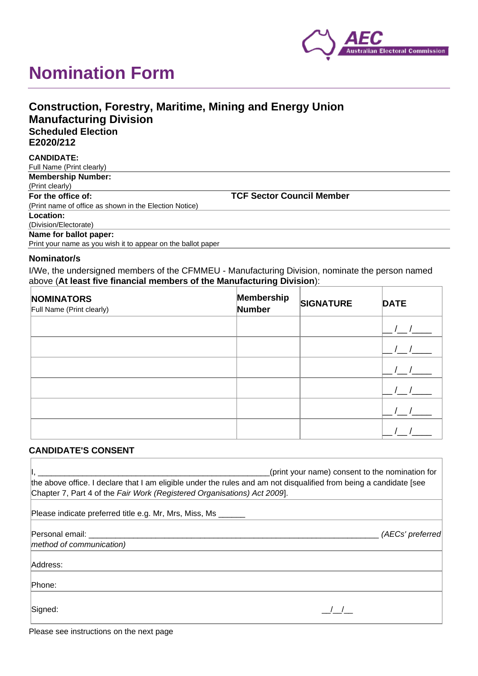

# **Nomination Form**

| <b>Construction, Forestry, Maritime, Mining and Energy Union</b> |  |
|------------------------------------------------------------------|--|
| <b>Manufacturing Division</b>                                    |  |
| <b>Scheduled Election</b>                                        |  |
| E2020/212                                                        |  |
| CANDIDATE.                                                       |  |

| <b>UANDIDAIL.</b>                                            |                                  |
|--------------------------------------------------------------|----------------------------------|
| Full Name (Print clearly)                                    |                                  |
| <b>Membership Number:</b>                                    |                                  |
| (Print clearly)                                              |                                  |
| For the office of:                                           | <b>TCF Sector Council Member</b> |
| (Print name of office as shown in the Election Notice)       |                                  |
| Location:                                                    |                                  |
| (Division/Electorate)                                        |                                  |
| Name for ballot paper:                                       |                                  |
| Print your name as you wish it to appear on the ballot paper |                                  |

#### **Nominator/s**

I/We, the undersigned members of the CFMMEU - Manufacturing Division, nominate the person named above (**At least five financial members of the Manufacturing Division**):

| <b>NOMINATORS</b><br>Full Name (Print clearly) | Membership<br>Number | <b>SIGNATURE</b> | <b>DATE</b> |
|------------------------------------------------|----------------------|------------------|-------------|
|                                                |                      |                  |             |
|                                                |                      |                  |             |
|                                                |                      |                  |             |
|                                                |                      |                  |             |
|                                                |                      |                  |             |
|                                                |                      |                  |             |

### **CANDIDATE'S CONSENT**

| (print your name) consent to the nomination for<br>the above office. I declare that I am eligible under the rules and am not disqualified from being a candidate [see<br>Chapter 7, Part 4 of the Fair Work (Registered Organisations) Act 2009. |                  |  |  |  |
|--------------------------------------------------------------------------------------------------------------------------------------------------------------------------------------------------------------------------------------------------|------------------|--|--|--|
|                                                                                                                                                                                                                                                  |                  |  |  |  |
| Personal email:                                                                                                                                                                                                                                  | (AECs' preferred |  |  |  |
| method of communication)                                                                                                                                                                                                                         |                  |  |  |  |
| Address:                                                                                                                                                                                                                                         |                  |  |  |  |
| Phone:                                                                                                                                                                                                                                           |                  |  |  |  |
| Signed:                                                                                                                                                                                                                                          |                  |  |  |  |